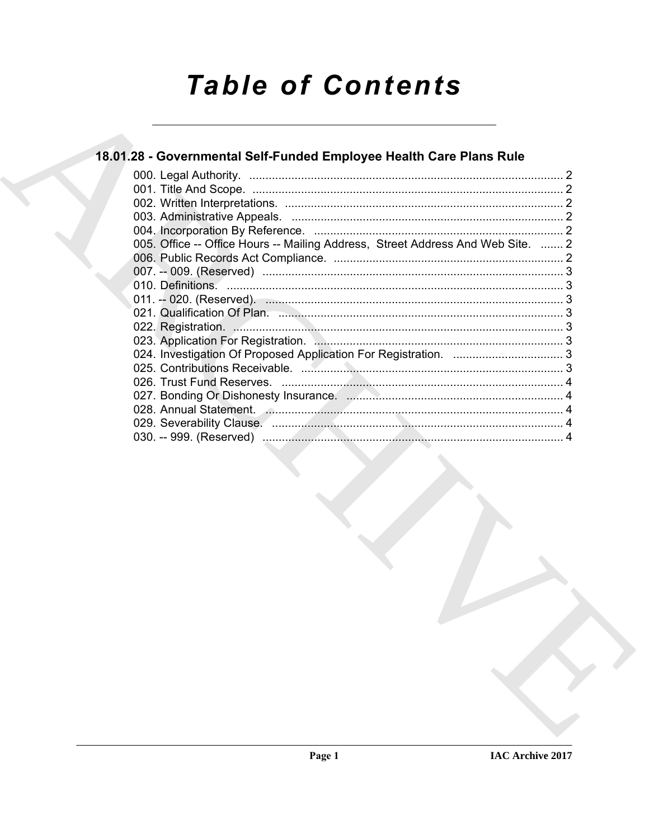# **Table of Contents**

# 18.01.28 - Governmental Self-Funded Employee Health Care Plans Rule

| 005. Office -- Office Hours -- Mailing Address, Street Address And Web Site.  2 |  |
|---------------------------------------------------------------------------------|--|
|                                                                                 |  |
|                                                                                 |  |
|                                                                                 |  |
|                                                                                 |  |
|                                                                                 |  |
|                                                                                 |  |
|                                                                                 |  |
|                                                                                 |  |
|                                                                                 |  |
|                                                                                 |  |
|                                                                                 |  |
|                                                                                 |  |
|                                                                                 |  |
|                                                                                 |  |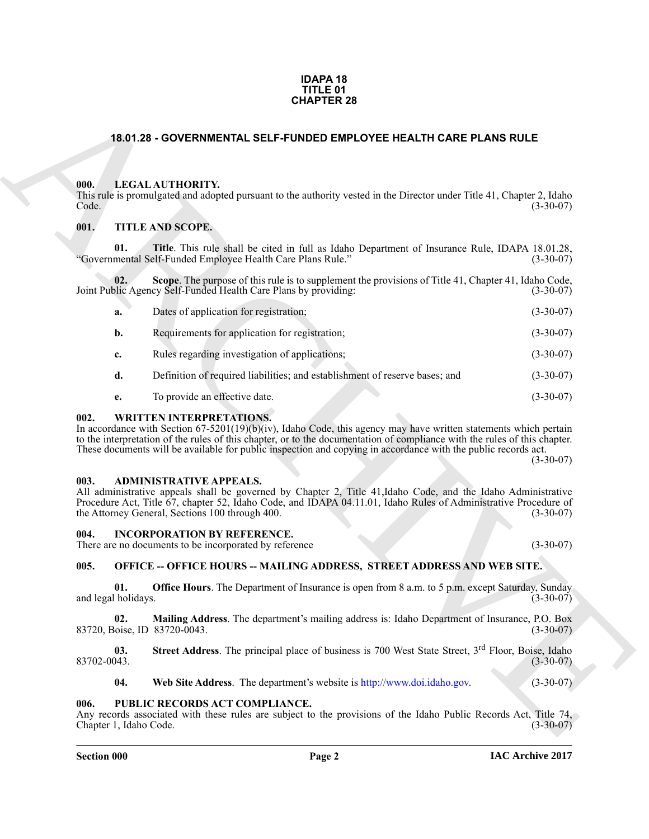#### **IDAPA 18 TITLE 01 CHAPTER 28**

#### <span id="page-1-0"></span>**18.01.28 - GOVERNMENTAL SELF-FUNDED EMPLOYEE HEALTH CARE PLANS RULE**

#### <span id="page-1-1"></span>**000. LEGAL AUTHORITY.**

#### <span id="page-1-2"></span>**001. TITLE AND SCOPE.**

| <b>CHAPTER 28</b>                                                                                                                                                                                                                                                                                                                                                                                             |             |  |
|---------------------------------------------------------------------------------------------------------------------------------------------------------------------------------------------------------------------------------------------------------------------------------------------------------------------------------------------------------------------------------------------------------------|-------------|--|
| 18.01.28 - GOVERNMENTAL SELF-FUNDED EMPLOYEE HEALTH CARE PLANS RULE                                                                                                                                                                                                                                                                                                                                           |             |  |
| LEGAL AUTHORITY.<br>000.<br>This rule is promulgated and adopted pursuant to the authority vested in the Director under Title 41, Chapter 2, Idaho<br>Code.                                                                                                                                                                                                                                                   | $(3-30-07)$ |  |
| 001.<br>TITLE AND SCOPE.                                                                                                                                                                                                                                                                                                                                                                                      |             |  |
| 01.<br>Title. This rule shall be cited in full as Idaho Department of Insurance Rule, IDAPA 18.01.28,<br>"Governmental Self-Funded Employee Health Care Plans Rule."                                                                                                                                                                                                                                          | $(3-30-07)$ |  |
| 02.<br>Scope. The purpose of this rule is to supplement the provisions of Title 41, Chapter 41, Idaho Code,<br>Joint Public Agency Self-Funded Health Care Plans by providing:                                                                                                                                                                                                                                | $(3-30-07)$ |  |
| Dates of application for registration;<br>a.                                                                                                                                                                                                                                                                                                                                                                  | $(3-30-07)$ |  |
| Requirements for application for registration;<br>b.                                                                                                                                                                                                                                                                                                                                                          | $(3-30-07)$ |  |
| Rules regarding investigation of applications;<br>c.                                                                                                                                                                                                                                                                                                                                                          | $(3-30-07)$ |  |
| Definition of required liabilities; and establishment of reserve bases; and<br>d.                                                                                                                                                                                                                                                                                                                             | $(3-30-07)$ |  |
| To provide an effective date.<br>e.                                                                                                                                                                                                                                                                                                                                                                           | $(3-30-07)$ |  |
| 002.<br><b>WRITTEN INTERPRETATIONS.</b><br>In accordance with Section $67-5201(19)(b)(iv)$ , Idaho Code, this agency may have written statements which pertain<br>to the interpretation of the rules of this chapter, or to the documentation of compliance with the rules of this chapter.<br>These documents will be available for public inspection and copying in accordance with the public records act. | $(3-30-07)$ |  |
| 003.<br><b>ADMINISTRATIVE APPEALS.</b><br>All administrative appeals shall be governed by Chapter 2, Title 41, Idaho Code, and the Idaho Administrative<br>Procedure Act, Title 67, chapter 52, Idaho Code, and IDAPA 04.11.01, Idaho Rules of Administrative Procedure of<br>the Attorney General, Sections 100 through 400.                                                                                 | $(3-30-07)$ |  |
| 004.<br><b>INCORPORATION BY REFERENCE.</b><br>There are no documents to be incorporated by reference                                                                                                                                                                                                                                                                                                          | $(3-30-07)$ |  |
| <b>OFFICE -- OFFICE HOURS -- MAILING ADDRESS, STREET ADDRESS AND WEB SITE.</b><br>005.                                                                                                                                                                                                                                                                                                                        |             |  |
| <b>Office Hours</b> . The Department of Insurance is open from 8 a.m. to 5 p.m. except Saturday, Sunday<br>01.<br>and legal holidays.                                                                                                                                                                                                                                                                         | $(3-30-07)$ |  |
| Mailing Address. The department's mailing address is: Idaho Department of Insurance, P.O. Box<br>02.<br>83720, Boise, ID 83720-0043.                                                                                                                                                                                                                                                                          | $(3-30-07)$ |  |
| <b>Street Address</b> . The principal place of business is 700 West State Street, 3 <sup>rd</sup> Floor, Boise, Idaho<br>03.<br>83702-0043.                                                                                                                                                                                                                                                                   | $(3-30-07)$ |  |
| Web Site Address. The department's website is http://www.doi.idaho.gov.<br>04.                                                                                                                                                                                                                                                                                                                                | $(3-30-07)$ |  |
| PUBLIC RECORDS ACT COMPLIANCE.<br>006.<br>Any records associated with these rules are subject to the provisions of the Idaho Public Records Act, Title 74,<br>Chapter 1, Idaho Code.                                                                                                                                                                                                                          | $(3-30-07)$ |  |

#### <span id="page-1-3"></span>**002. WRITTEN INTERPRETATIONS.**

#### <span id="page-1-4"></span>**003. ADMINISTRATIVE APPEALS.**

#### <span id="page-1-5"></span>**004. INCORPORATION BY REFERENCE.**

#### <span id="page-1-6"></span>**005. OFFICE -- OFFICE HOURS -- MAILING ADDRESS, STREET ADDRESS AND WEB SITE.**

#### <span id="page-1-7"></span>**006. PUBLIC RECORDS ACT COMPLIANCE.**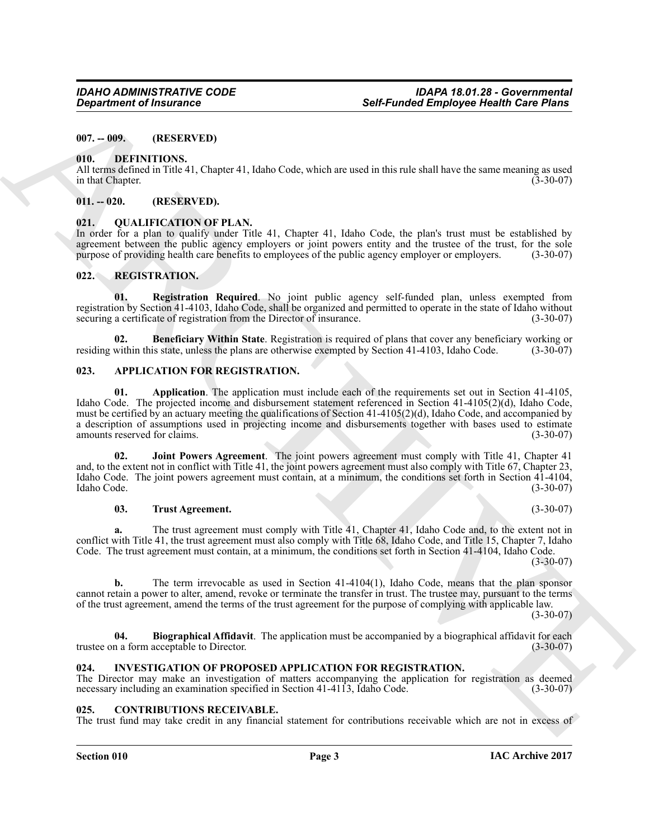#### <span id="page-2-0"></span>**007. -- 009. (RESERVED)**

#### <span id="page-2-14"></span><span id="page-2-1"></span>**010. DEFINITIONS.**

All terms defined in Title 41, Chapter 41, Idaho Code, which are used in this rule shall have the same meaning as used<br>(3-30-07) in that Chapter.

#### <span id="page-2-2"></span>**011. -- 020. (RESERVED).**

#### <span id="page-2-16"></span><span id="page-2-3"></span>**021. QUALIFICATION OF PLAN.**

In order for a plan to qualify under Title 41, Chapter 41, Idaho Code, the plan's trust must be established by agreement between the public agency employers or joint powers entity and the trustee of the trust, for the sole purpose of providing health care benefits to employees of the public agency employer or employers. (3-30-07) purpose of providing health care benefits to employees of the public agency employer or employers.

#### <span id="page-2-17"></span><span id="page-2-4"></span>**022. REGISTRATION.**

<span id="page-2-19"></span>**01. Registration Required**. No joint public agency self-funded plan, unless exempted from registration by Section 41-4103, Idaho Code, shall be organized and permitted to operate in the state of Idaho without securing a certificate of registration from the Director of insurance. (3-30-07)

<span id="page-2-18"></span>**02. Beneficiary Within State**. Registration is required of plans that cover any beneficiary working or within this state, unless the plans are otherwise exempted by Section 41-4103. Idaho Code. (3-30-07) residing within this state, unless the plans are otherwise exempted by Section 41-4103, Idaho Code.

#### <span id="page-2-9"></span><span id="page-2-8"></span><span id="page-2-5"></span>**023. APPLICATION FOR REGISTRATION.**

Government of framework and the state of the state of the state of the state of the state of the state of the state of the state of the state of the state of the state of the state of the state of the state of the state o **01. Application**. The application must include each of the requirements set out in Section 41-4105, Idaho Code. The projected income and disbursement statement referenced in Section 41-4105(2)(d), Idaho Code, must be certified by an actuary meeting the qualifications of Section 41-4105(2)(d), Idaho Code, and accompanied by a description of assumptions used in projecting income and disbursements together with bases used to estimate amounts reserved for claims. amounts reserved for claims.

**02. Joint Powers Agreement**. The joint powers agreement must comply with Title 41, Chapter 41 and, to the extent not in conflict with Title 41, the joint powers agreement must also comply with Title 67, Chapter 23, Idaho Code. The joint powers agreement must contain, at a minimum, the conditions set forth in Section 41-4104, Idaho Code. (3-30-07)

#### <span id="page-2-12"></span><span id="page-2-11"></span>**03. Trust Agreement.** (3-30-07)

**a.** The trust agreement must comply with Title 41, Chapter 41, Idaho Code and, to the extent not in conflict with Title 41, the trust agreement must also comply with Title 68, Idaho Code, and Title 15, Chapter 7, Idaho Code. The trust agreement must contain, at a minimum, the conditions set forth in Section 41-4104, Idaho Code.

 $(3-30-07)$ 

**b.** The term irrevocable as used in Section 41-4104(1), Idaho Code, means that the plan sponsor cannot retain a power to alter, amend, revoke or terminate the transfer in trust. The trustee may, pursuant to the terms of the trust agreement, amend the terms of the trust agreement for the purpose of complying with applicable law.

 $(3-30-07)$ 

<span id="page-2-10"></span>**04. Biographical Affidavit**. The application must be accompanied by a biographical affidavit for each n a form acceptable to Director. (3-30-07) trustee on a form acceptable to Director.

#### <span id="page-2-15"></span><span id="page-2-6"></span>**024. INVESTIGATION OF PROPOSED APPLICATION FOR REGISTRATION.**

The Director may make an investigation of matters accompanying the application for registration as deemed necessary including an examination specified in Section 41-4113, Idaho Code. (3-30-07) necessary including an examination specified in Section 41-4113, Idaho Code.

#### <span id="page-2-13"></span><span id="page-2-7"></span>**025. CONTRIBUTIONS RECEIVABLE.**

The trust fund may take credit in any financial statement for contributions receivable which are not in excess of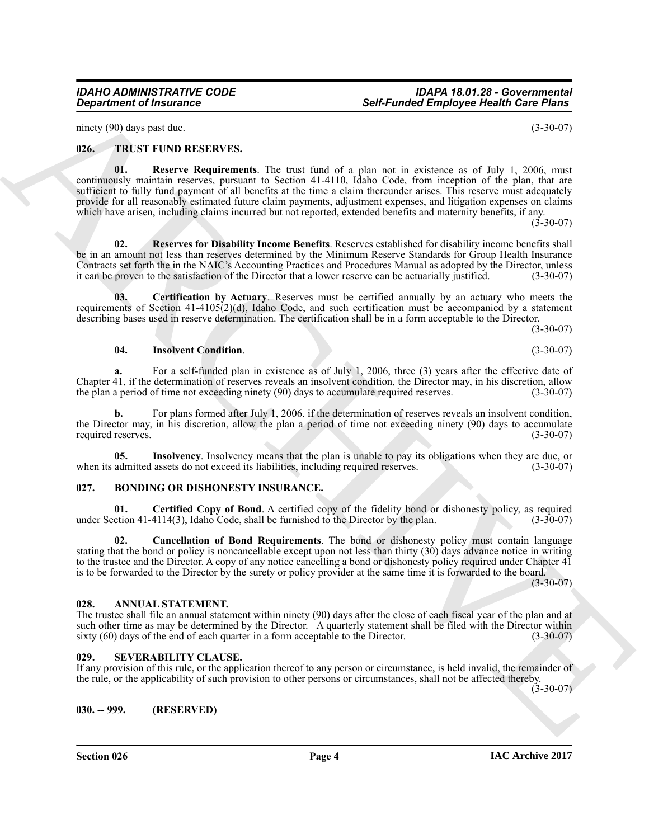ninety (90) days past due. (3-30-07)

#### <span id="page-3-13"></span><span id="page-3-9"></span><span id="page-3-0"></span>**026. TRUST FUND RESERVES.**

**Solution of Insurance Construction**<br>
Solution and the construction of the state of the state of the state of the state of the state of the state of the state of the state of the state of the state of the state of the sta **01. Reserve Requirements**. The trust fund of a plan not in existence as of July 1, 2006, must continuously maintain reserves, pursuant to Section 41-4110, Idaho Code, from inception of the plan, that are sufficient to fully fund payment of all benefits at the time a claim thereunder arises. This reserve must adequately provide for all reasonably estimated future claim payments, adjustment expenses, and litigation expenses on claims which have arisen, including claims incurred but not reported, extended benefits and maternity benefits, if any.

 $(3-30-07)$ 

<span id="page-3-14"></span>**02. Reserves for Disability Income Benefits**. Reserves established for disability income benefits shall be in an amount not less than reserves determined by the Minimum Reserve Standards for Group Health Insurance Contracts set forth the in the NAIC's Accounting Practices and Procedures Manual as adopted by the Director, unless it can be proven to the satisfaction of the Director that a lower reserve can be actuarially justified. (3-30-07)

**03. Certification by Actuary**. Reserves must be certified annually by an actuary who meets the requirements of Section 41-4105(2)(d), Idaho Code, and such certification must be accompanied by a statement describing bases used in reserve determination. The certification shall be in a form acceptable to the Director.

(3-30-07)

#### <span id="page-3-12"></span><span id="page-3-10"></span>**04. Insolvent Condition**. (3-30-07)

**a.** For a self-funded plan in existence as of July 1, 2006, three (3) years after the effective date of Chapter 41, if the determination of reserves reveals an insolvent condition, the Director may, in his discretion, allow the plan a period of time not exceeding ninety (90) days to accumulate required reserves. (3-30-07) the plan a period of time not exceeding ninety (90) days to accumulate required reserves.

For plans formed after July 1, 2006. if the determination of reserves reveals an insolvent condition, the Director may, in his discretion, allow the plan a period of time not exceeding ninety (90) days to accumulate required reserves. (3-30-07) required reserves.

<span id="page-3-11"></span>**05.** Insolvency. Insolvency means that the plan is unable to pay its obligations when they are due, or admitted assets do not exceed its liabilities, including required reserves. (3-30-07) when its admitted assets do not exceed its liabilities, including required reserves.

#### <span id="page-3-6"></span><span id="page-3-1"></span>**027. BONDING OR DISHONESTY INSURANCE.**

<span id="page-3-8"></span>**01. Certified Copy of Bond**. A certified copy of the fidelity bond or dishonesty policy, as required ction 41-4114(3), Idaho Code, shall be furnished to the Director by the plan. (3-30-07) under Section  $41-4114(3)$ , Idaho Code, shall be furnished to the Director by the plan.

<span id="page-3-7"></span>**02. Cancellation of Bond Requirements**. The bond or dishonesty policy must contain language stating that the bond or policy is noncancellable except upon not less than thirty (30) days advance notice in writing to the trustee and the Director. A copy of any notice cancelling a bond or dishonesty policy required under Chapter 41 is to be forwarded to the Director by the surety or policy provider at the same time it is forwarded to the board.

 $(3 - 30 - 07)$ 

#### <span id="page-3-5"></span><span id="page-3-2"></span>**028. ANNUAL STATEMENT.**

The trustee shall file an annual statement within ninety (90) days after the close of each fiscal year of the plan and at such other time as may be determined by the Director. A quarterly statement shall be filed with the Director within sixty (60) days of the end of each quarter in a form acceptable to the Director. (3-30-07)

#### <span id="page-3-3"></span>**029. SEVERABILITY CLAUSE.**

If any provision of this rule, or the application thereof to any person or circumstance, is held invalid, the remainder of the rule, or the applicability of such provision to other persons or circumstances, shall not be affected thereby.

 $(3-30-07)$ 

<span id="page-3-4"></span>**030. -- 999. (RESERVED)**